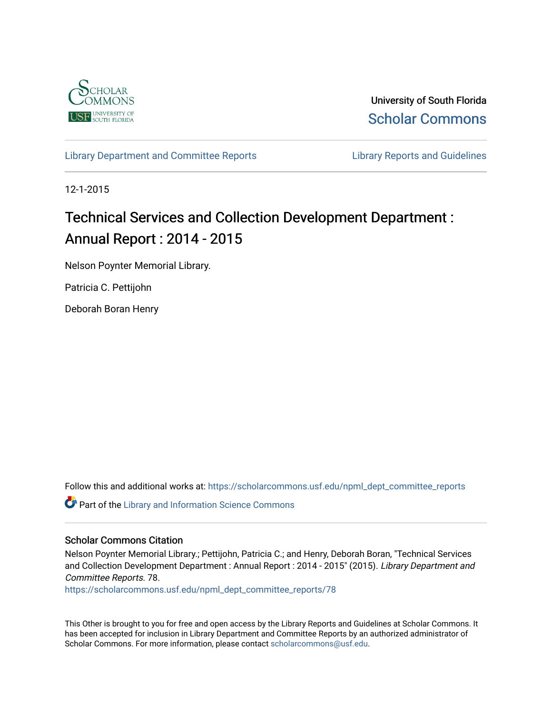

University of South Florida [Scholar Commons](https://scholarcommons.usf.edu/) 

[Library Department and Committee Reports](https://scholarcommons.usf.edu/npml_dept_committee_reports) **Library Reports and Guidelines** 

12-1-2015

# Technical Services and Collection Development Department : Annual Report : 2014 - 2015

Nelson Poynter Memorial Library.

Patricia C. Pettijohn

Deborah Boran Henry

Follow this and additional works at: [https://scholarcommons.usf.edu/npml\\_dept\\_committee\\_reports](https://scholarcommons.usf.edu/npml_dept_committee_reports?utm_source=scholarcommons.usf.edu%2Fnpml_dept_committee_reports%2F78&utm_medium=PDF&utm_campaign=PDFCoverPages)

Part of the [Library and Information Science Commons](http://network.bepress.com/hgg/discipline/1018?utm_source=scholarcommons.usf.edu%2Fnpml_dept_committee_reports%2F78&utm_medium=PDF&utm_campaign=PDFCoverPages) 

#### Scholar Commons Citation

Nelson Poynter Memorial Library.; Pettijohn, Patricia C.; and Henry, Deborah Boran, "Technical Services and Collection Development Department : Annual Report : 2014 - 2015" (2015). Library Department and Committee Reports. 78.

[https://scholarcommons.usf.edu/npml\\_dept\\_committee\\_reports/78](https://scholarcommons.usf.edu/npml_dept_committee_reports/78?utm_source=scholarcommons.usf.edu%2Fnpml_dept_committee_reports%2F78&utm_medium=PDF&utm_campaign=PDFCoverPages) 

This Other is brought to you for free and open access by the Library Reports and Guidelines at Scholar Commons. It has been accepted for inclusion in Library Department and Committee Reports by an authorized administrator of Scholar Commons. For more information, please contact [scholarcommons@usf.edu](mailto:scholarcommons@usf.edu).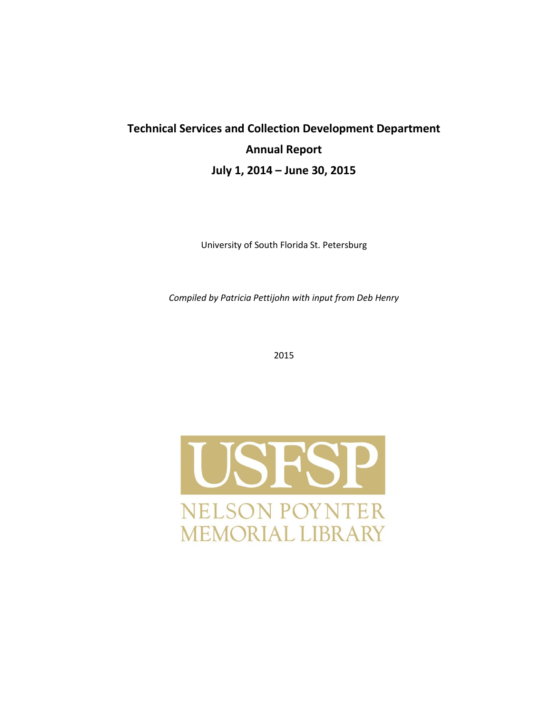# **Technical Services and Collection Development Department Annual Report July 1, 2014 – June 30, 2015**

University of South Florida St. Petersburg

*Compiled by Patricia Pettijohn with input from Deb Henry*

2015

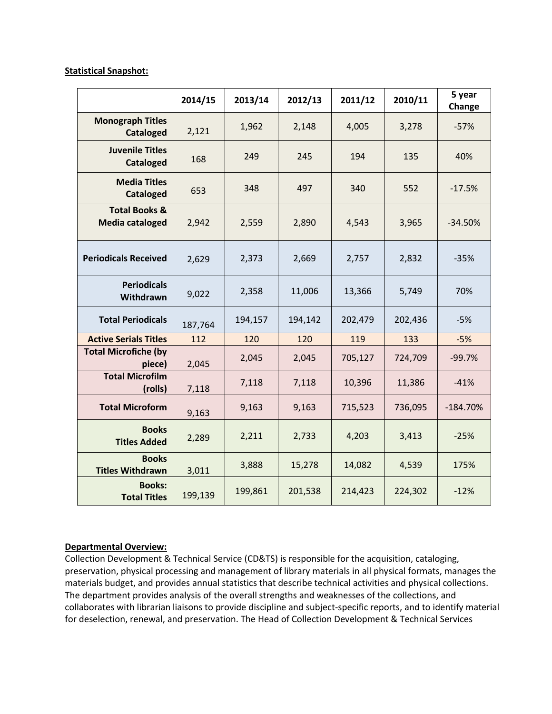#### **Statistical Snapshot:**

|                                                    | 2014/15 | 2013/14 | 2012/13 | 2011/12 | 2010/11 | 5 year<br>Change |
|----------------------------------------------------|---------|---------|---------|---------|---------|------------------|
| <b>Monograph Titles</b><br><b>Cataloged</b>        | 2,121   | 1,962   | 2,148   | 4,005   | 3,278   | $-57%$           |
| <b>Juvenile Titles</b><br><b>Cataloged</b>         | 168     | 249     | 245     | 194     | 135     | 40%              |
| <b>Media Titles</b><br><b>Cataloged</b>            | 653     | 348     | 497     | 340     | 552     | $-17.5%$         |
| <b>Total Books &amp;</b><br><b>Media cataloged</b> | 2,942   | 2,559   | 2,890   | 4,543   | 3,965   | $-34.50%$        |
| <b>Periodicals Received</b>                        | 2,629   | 2,373   | 2,669   | 2,757   | 2,832   | $-35%$           |
| <b>Periodicals</b><br>Withdrawn                    | 9,022   | 2,358   | 11,006  | 13,366  | 5,749   | 70%              |
| <b>Total Periodicals</b>                           | 187,764 | 194,157 | 194,142 | 202,479 | 202,436 | $-5%$            |
| <b>Active Serials Titles</b>                       | 112     | 120     | 120     | 119     | 133     | $-5%$            |
| <b>Total Microfiche (by</b><br>piece)              | 2,045   | 2,045   | 2,045   | 705,127 | 724,709 | $-99.7%$         |
| <b>Total Microfilm</b><br>(rolls)                  | 7,118   | 7,118   | 7,118   | 10,396  | 11,386  | $-41%$           |
| <b>Total Microform</b>                             | 9,163   | 9,163   | 9,163   | 715,523 | 736,095 | $-184.70%$       |
| <b>Books</b><br><b>Titles Added</b>                | 2,289   | 2,211   | 2,733   | 4,203   | 3,413   | $-25%$           |
| <b>Books</b><br><b>Titles Withdrawn</b>            | 3,011   | 3,888   | 15,278  | 14,082  | 4,539   | 175%             |
| <b>Books:</b><br><b>Total Titles</b>               | 199,139 | 199,861 | 201,538 | 214,423 | 224,302 | $-12%$           |

#### **Departmental Overview:**

Collection Development & Technical Service (CD&TS) is responsible for the acquisition, cataloging, preservation, physical processing and management of library materials in all physical formats, manages the materials budget, and provides annual statistics that describe technical activities and physical collections. The department provides analysis of the overall strengths and weaknesses of the collections, and collaborates with librarian liaisons to provide discipline and subject-specific reports, and to identify material for deselection, renewal, and preservation. The Head of Collection Development & Technical Services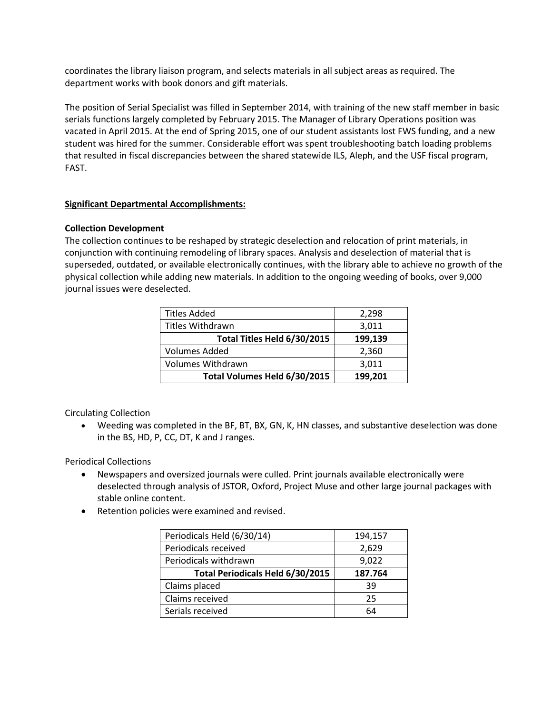coordinates the library liaison program, and selects materials in all subject areas as required. The department works with book donors and gift materials.

The position of Serial Specialist was filled in September 2014, with training of the new staff member in basic serials functions largely completed by February 2015. The Manager of Library Operations position was vacated in April 2015. At the end of Spring 2015, one of our student assistants lost FWS funding, and a new student was hired for the summer. Considerable effort was spent troubleshooting batch loading problems that resulted in fiscal discrepancies between the shared statewide ILS, Aleph, and the USF fiscal program, FAST.

# **Significant Departmental Accomplishments:**

# **Collection Development**

The collection continues to be reshaped by strategic deselection and relocation of print materials, in conjunction with continuing remodeling of library spaces. Analysis and deselection of material that is superseded, outdated, or available electronically continues, with the library able to achieve no growth of the physical collection while adding new materials. In addition to the ongoing weeding of books, over 9,000 journal issues were deselected.

| <b>Titles Added</b>          | 2,298   |  |
|------------------------------|---------|--|
| Titles Withdrawn             | 3,011   |  |
| Total Titles Held 6/30/2015  | 199,139 |  |
| <b>Volumes Added</b>         | 2,360   |  |
| Volumes Withdrawn            | 3,011   |  |
| Total Volumes Held 6/30/2015 | 199,201 |  |

Circulating Collection

 Weeding was completed in the BF, BT, BX, GN, K, HN classes, and substantive deselection was done in the BS, HD, P, CC, DT, K and J ranges.

Periodical Collections

- Newspapers and oversized journals were culled. Print journals available electronically were deselected through analysis of JSTOR, Oxford, Project Muse and other large journal packages with stable online content.
- Retention policies were examined and revised.

| Periodicals Held (6/30/14)       | 194,157 |
|----------------------------------|---------|
| Periodicals received             | 2,629   |
| Periodicals withdrawn            | 9,022   |
| Total Periodicals Held 6/30/2015 | 187.764 |
| Claims placed                    | 39      |
| Claims received                  | 25      |
| Serials received                 | 64      |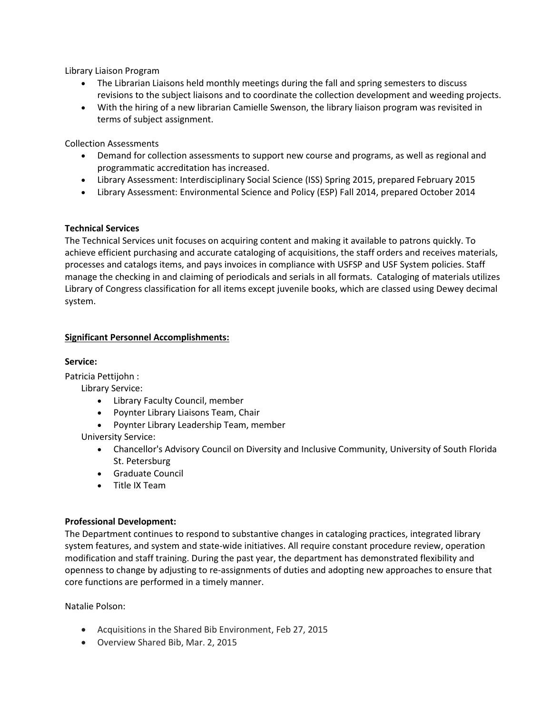Library Liaison Program

- The Librarian Liaisons held monthly meetings during the fall and spring semesters to discuss revisions to the subject liaisons and to coordinate the collection development and weeding projects.
- With the hiring of a new librarian Camielle Swenson, the library liaison program was revisited in terms of subject assignment.

Collection Assessments

- Demand for collection assessments to support new course and programs, as well as regional and programmatic accreditation has increased.
- Library Assessment: Interdisciplinary Social Science (ISS) Spring 2015, prepared February 2015
- Library Assessment: Environmental Science and Policy (ESP) Fall 2014, prepared October 2014

#### **Technical Services**

The Technical Services unit focuses on acquiring content and making it available to patrons quickly. To achieve efficient purchasing and accurate cataloging of acquisitions, the staff orders and receives materials, processes and catalogs items, and pays invoices in compliance with USFSP and USF System policies. Staff manage the checking in and claiming of periodicals and serials in all formats. Cataloging of materials utilizes Library of Congress classification for all items except juvenile books, which are classed using Dewey decimal system.

# **Significant Personnel Accomplishments:**

### **Service:**

Patricia Pettijohn :

Library Service:

- Library Faculty Council, member
- Poynter Library Liaisons Team, Chair
- Poynter Library Leadership Team, member

University Service:

- Chancellor's Advisory Council on Diversity and Inclusive Community, University of South Florida St. Petersburg
- Graduate Council
- Title IX Team

#### **Professional Development:**

The Department continues to respond to substantive changes in cataloging practices, integrated library system features, and system and state-wide initiatives. All require constant procedure review, operation modification and staff training. During the past year, the department has demonstrated flexibility and openness to change by adjusting to re-assignments of duties and adopting new approaches to ensure that core functions are performed in a timely manner.

Natalie Polson:

- Acquisitions in the Shared Bib Environment, Feb 27, 2015
- Overview Shared Bib, Mar. 2, 2015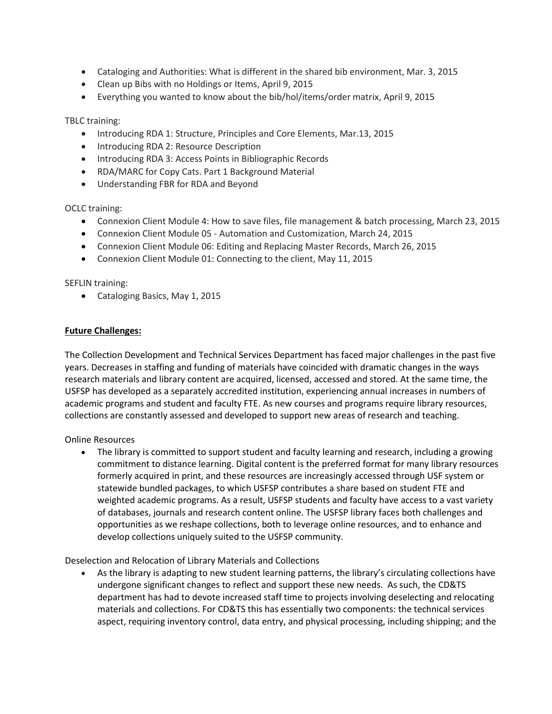- Cataloging and Authorities: What is different in the shared bib environment, Mar. 3, 2015
- Clean up Bibs with no Holdings or Items, April 9, 2015
- Everything you wanted to know about the bib/hol/items/order matrix, April 9, 2015

TBLC training:

- Introducing RDA 1: Structure, Principles and Core Elements, Mar.13, 2015
- Introducing RDA 2: Resource Description
- Introducing RDA 3: Access Points in Bibliographic Records
- RDA/MARC for Copy Cats. Part 1 Background Material
- Understanding FBR for RDA and Beyond

OCLC training:

- Connexion Client Module 4: How to save files, file management & batch processing, March 23, 2015
- Connexion Client Module 05 Automation and Customization, March 24, 2015
- Connexion Client Module 06: Editing and Replacing Master Records, March 26, 2015
- Connexion Client Module 01: Connecting to the client, May 11, 2015

SEFLIN training:

• Cataloging Basics, May 1, 2015

#### **Future Challenges:**

The Collection Development and Technical Services Department has faced major challenges in the past five years. Decreases in staffing and funding of materials have coincided with dramatic changes in the ways research materials and library content are acquired, licensed, accessed and stored. At the same time, the USFSP has developed as a separately accredited institution, experiencing annual increases in numbers of academic programs and student and faculty FTE. As new courses and programs require library resources, collections are constantly assessed and developed to support new areas of research and teaching.

Online Resources

 The library is committed to support student and faculty learning and research, including a growing commitment to distance learning. Digital content is the preferred format for many library resources formerly acquired in print, and these resources are increasingly accessed through USF system or statewide bundled packages, to which USFSP contributes a share based on student FTE and weighted academic programs. As a result, USFSP students and faculty have access to a vast variety of databases, journals and research content online. The USFSP library faces both challenges and opportunities as we reshape collections, both to leverage online resources, and to enhance and develop collections uniquely suited to the USFSP community.

Deselection and Relocation of Library Materials and Collections

 As the library is adapting to new student learning patterns, the library's circulating collections have undergone significant changes to reflect and support these new needs. As such, the CD&TS department has had to devote increased staff time to projects involving deselecting and relocating materials and collections. For CD&TS this has essentially two components: the technical services aspect, requiring inventory control, data entry, and physical processing, including shipping; and the